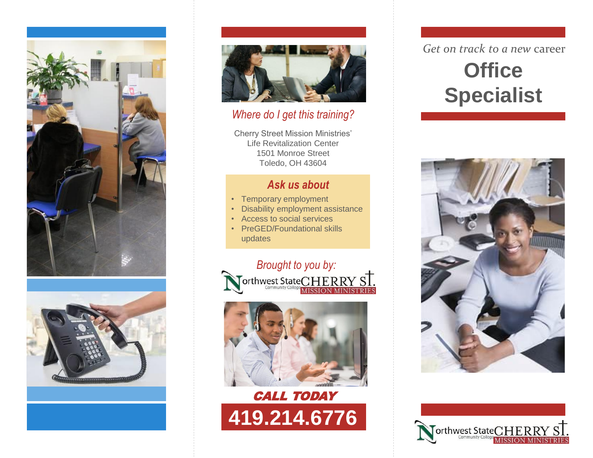





#### *Where do I get this training?*

Cherry Street Mission Ministries' Life Revitalization Center 1501 Monroe Street Toledo, OH 43604

## *Ask us about*

- Temporary employment
- Disability employment assistance
- Access to social services
- PreGED/Foundational skills updates







# *Get on track to a new* career **Office Specialist**